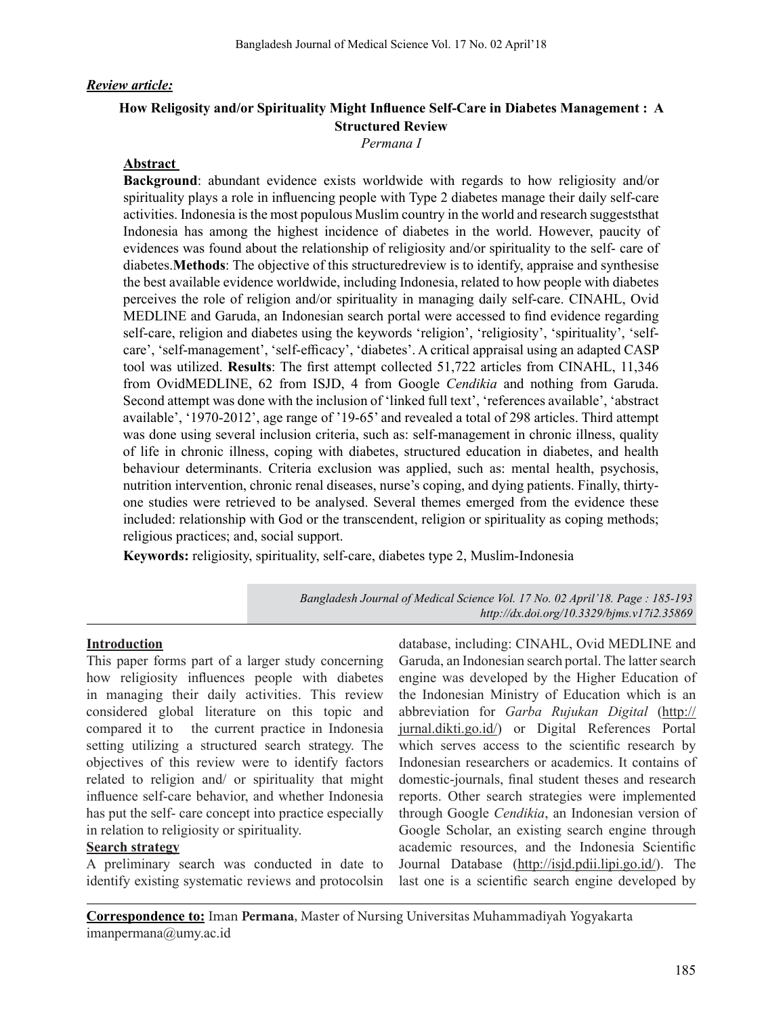## *Review article:*

# **How Religosity and/or Spirituality Might Influence Self-Care in Diabetes Management : A Structured Review**

*Permana I*

## **Abstract**

**Background**: abundant evidence exists worldwide with regards to how religiosity and/or spirituality plays a role in influencing people with Type 2 diabetes manage their daily self-care activities. Indonesia is the most populous Muslim country in the world and research suggeststhat Indonesia has among the highest incidence of diabetes in the world. However, paucity of evidences was found about the relationship of religiosity and/or spirituality to the self- care of diabetes.**Methods**: The objective of this structuredreview is to identify, appraise and synthesise the best available evidence worldwide, including Indonesia, related to how people with diabetes perceives the role of religion and/or spirituality in managing daily self-care. CINAHL, Ovid MEDLINE and Garuda, an Indonesian search portal were accessed to find evidence regarding self-care, religion and diabetes using the keywords 'religion', 'religiosity', 'spirituality', 'selfcare', 'self-management', 'self-efficacy', 'diabetes'. A critical appraisal using an adapted CASP tool was utilized. **Results**: The first attempt collected 51,722 articles from CINAHL, 11,346 from OvidMEDLINE, 62 from ISJD, 4 from Google *Cendikia* and nothing from Garuda. Second attempt was done with the inclusion of 'linked full text', 'references available', 'abstract available', '1970-2012', age range of '19-65' and revealed a total of 298 articles. Third attempt was done using several inclusion criteria, such as: self-management in chronic illness, quality of life in chronic illness, coping with diabetes, structured education in diabetes, and health behaviour determinants. Criteria exclusion was applied, such as: mental health, psychosis, nutrition intervention, chronic renal diseases, nurse's coping, and dying patients. Finally, thirtyone studies were retrieved to be analysed. Several themes emerged from the evidence these included: relationship with God or the transcendent, religion or spirituality as coping methods; religious practices; and, social support.

**Keywords:** religiosity, spirituality, self-care, diabetes type 2, Muslim-Indonesia

*Bangladesh Journal of Medical Science Vol. 17 No. 02 April'18. Page : 185-193 http://dx.doi.org/10.3329/bjms.v17i2.35869*

## **Introduction**

This paper forms part of a larger study concerning how religiosity influences people with diabetes in managing their daily activities. This review considered global literature on this topic and compared it to the current practice in Indonesia setting utilizing a structured search strategy. The objectives of this review were to identify factors related to religion and/ or spirituality that might influence self-care behavior, and whether Indonesia has put the self- care concept into practice especially in relation to religiosity or spirituality.

## **Search strategy**

A preliminary search was conducted in date to identify existing systematic reviews and protocolsin

database, including: CINAHL, Ovid MEDLINE and Garuda, an Indonesian search portal. The latter search engine was developed by the Higher Education of the Indonesian Ministry of Education which is an abbreviation for *Garba Rujukan Digital* (http:// jurnal.dikti.go.id/) or Digital References Portal which serves access to the scientific research by Indonesian researchers or academics. It contains of domestic-journals, final student theses and research reports. Other search strategies were implemented through Google *Cendikia*, an Indonesian version of Google Scholar, an existing search engine through academic resources, and the Indonesia Scientific Journal Database (http://isjd.pdii.lipi.go.id/). The last one is a scientific search engine developed by

**Correspondence to:** Iman **Permana**, Master of Nursing Universitas Muhammadiyah Yogyakarta imanpermana@umy.ac.id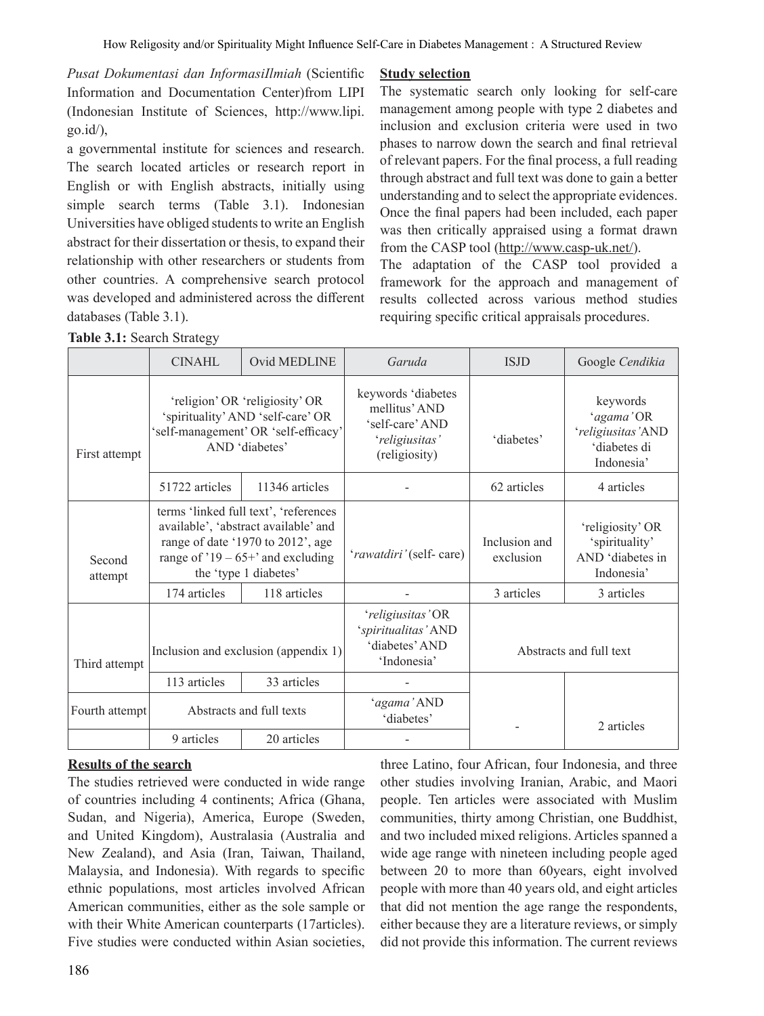*Pusat Dokumentasi dan InformasiIlmiah* (Scientific Information and Documentation Center)from LIPI (Indonesian Institute of Sciences, http://www.lipi.  $go.id/$ ),

a governmental institute for sciences and research. The search located articles or research report in English or with English abstracts, initially using simple search terms (Table 3.1). Indonesian Universities have obliged students to write an English abstract for their dissertation or thesis, to expand their relationship with other researchers or students from other countries. A comprehensive search protocol was developed and administered across the different databases (Table 3.1).

**Table 3.1:** Search Strategy

## **Study selection**

The systematic search only looking for self-care management among people with type 2 diabetes and inclusion and exclusion criteria were used in two phases to narrow down the search and final retrieval of relevant papers. For the final process, a full reading through abstract and full text was done to gain a better understanding and to select the appropriate evidences. Once the final papers had been included, each paper was then critically appraised using a format drawn from the CASP tool (http://www.casp-uk.net/).

The adaptation of the CASP tool provided a framework for the approach and management of results collected across various method studies requiring specific critical appraisals procedures.

|                   | <b>CINAHL</b>                                                                                                                                                                  | Ovid MEDLINE   | Garuda                                                                                    | <b>ISJD</b>                | Google Cendikia                                                          |
|-------------------|--------------------------------------------------------------------------------------------------------------------------------------------------------------------------------|----------------|-------------------------------------------------------------------------------------------|----------------------------|--------------------------------------------------------------------------|
| First attempt     | 'religion' OR 'religiosity' OR<br>'spirituality' AND 'self-care' OR<br>'self-management' OR 'self-efficacy'<br>AND 'diabetes'                                                  |                | keywords 'diabetes<br>mellitus' AND<br>'self-care' AND<br>'religiusitas'<br>(religiosity) | 'diabetes'                 | keywords<br>'agama'OR<br>'religiusitas'AND<br>'diabetes di<br>Indonesia' |
|                   | 51722 articles                                                                                                                                                                 | 11346 articles |                                                                                           | 62 articles                | 4 articles                                                               |
| Second<br>attempt | terms 'linked full text', 'references<br>available', 'abstract available' and<br>range of date '1970 to 2012', age<br>range of $19-65+$ and excluding<br>the 'type 1 diabetes' |                | 'rawatdiri'(self-care)                                                                    | Inclusion and<br>exclusion | 'religiosity' OR<br>'spirituality'<br>AND 'diabetes in<br>Indonesia'     |
|                   | 174 articles                                                                                                                                                                   | 118 articles   |                                                                                           | 3 articles                 | 3 articles                                                               |
| Third attempt     | Inclusion and exclusion (appendix $1$ )                                                                                                                                        |                | 'religiusitas'OR<br>'spiritualitas' AND<br>'diabetes' AND<br>'Indonesia'                  | Abstracts and full text    |                                                                          |
|                   | 113 articles                                                                                                                                                                   | 33 articles    |                                                                                           |                            |                                                                          |
| Fourth attempt    | Abstracts and full texts                                                                                                                                                       |                | 'agama' AND<br>'diabetes'                                                                 |                            | 2 articles                                                               |
|                   | 9 articles                                                                                                                                                                     | 20 articles    |                                                                                           |                            |                                                                          |

## **Results of the search**

The studies retrieved were conducted in wide range of countries including 4 continents; Africa (Ghana, Sudan, and Nigeria), America, Europe (Sweden, and United Kingdom), Australasia (Australia and New Zealand), and Asia (Iran, Taiwan, Thailand, Malaysia, and Indonesia). With regards to specific ethnic populations, most articles involved African American communities, either as the sole sample or with their White American counterparts (17articles). Five studies were conducted within Asian societies,

three Latino, four African, four Indonesia, and three other studies involving Iranian, Arabic, and Maori people. Ten articles were associated with Muslim communities, thirty among Christian, one Buddhist, and two included mixed religions. Articles spanned a wide age range with nineteen including people aged between 20 to more than 60years, eight involved people with more than 40 years old, and eight articles that did not mention the age range the respondents, either because they are a literature reviews, or simply did not provide this information. The current reviews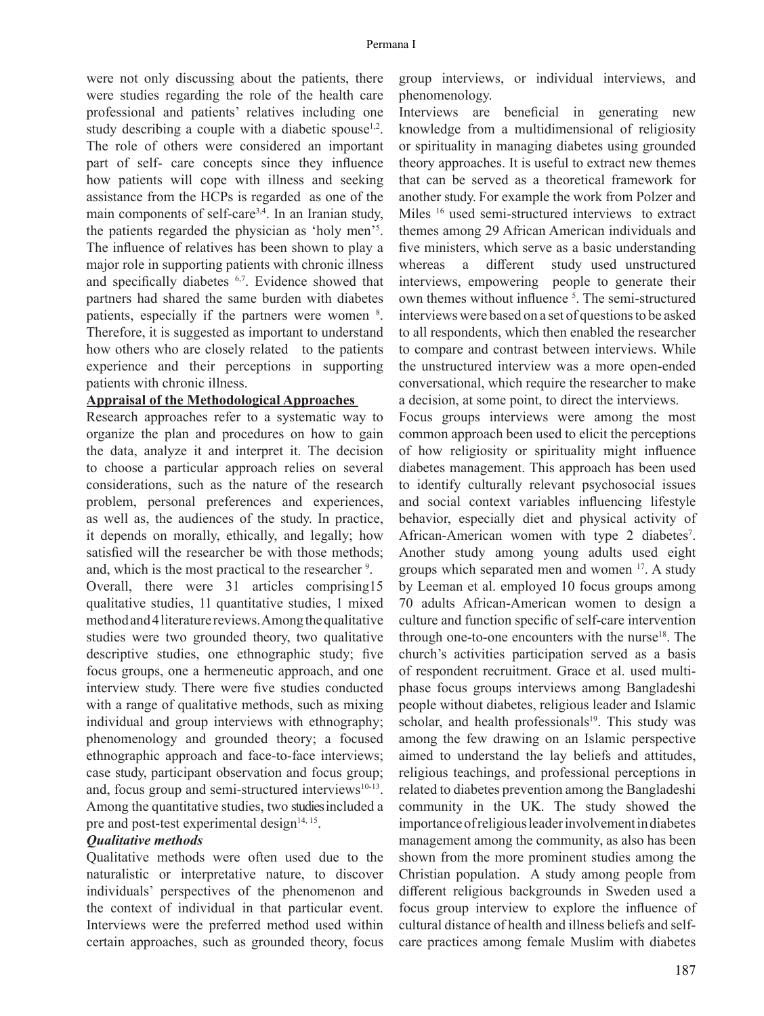were not only discussing about the patients, there were studies regarding the role of the health care professional and patients' relatives including one study describing a couple with a diabetic spouse<sup>1,2</sup>. The role of others were considered an important part of self- care concepts since they influence how patients will cope with illness and seeking assistance from the HCPs is regarded as one of the main components of self-care<sup>3,4</sup>. In an Iranian study, the patients regarded the physician as 'holy men'<sup>5</sup> . The influence of relatives has been shown to play a major role in supporting patients with chronic illness and specifically diabetes <sup>6,7</sup>. Evidence showed that partners had shared the same burden with diabetes patients, especially if the partners were women <sup>8</sup>. Therefore, it is suggested as important to understand how others who are closely related to the patients experience and their perceptions in supporting patients with chronic illness.

### **Appraisal of the Methodological Approaches**

Research approaches refer to a systematic way to organize the plan and procedures on how to gain the data, analyze it and interpret it. The decision to choose a particular approach relies on several considerations, such as the nature of the research problem, personal preferences and experiences, as well as, the audiences of the study. In practice, it depends on morally, ethically, and legally; how satisfied will the researcher be with those methods; and, which is the most practical to the researcher<sup>9</sup>. Overall, there were 31 articles comprising15 qualitative studies, 11 quantitative studies, 1 mixed method and 4 literature reviews. Among the qualitative studies were two grounded theory, two qualitative descriptive studies, one ethnographic study; five focus groups, one a hermeneutic approach, and one interview study. There were five studies conducted with a range of qualitative methods, such as mixing individual and group interviews with ethnography; phenomenology and grounded theory; a focused ethnographic approach and face-to-face interviews; case study, participant observation and focus group; and, focus group and semi-structured interviews<sup>10-13</sup>. Among the quantitative studies, two studiesincluded a pre and post-test experimental design<sup>14, 15</sup>.

### *Qualitative methods*

Qualitative methods were often used due to the naturalistic or interpretative nature, to discover individuals' perspectives of the phenomenon and the context of individual in that particular event. Interviews were the preferred method used within certain approaches, such as grounded theory, focus group interviews, or individual interviews, and phenomenology.

Interviews are beneficial in generating new knowledge from a multidimensional of religiosity or spirituality in managing diabetes using grounded theory approaches. It is useful to extract new themes that can be served as a theoretical framework for another study. For example the work from Polzer and Miles <sup>16</sup> used semi-structured interviews to extract themes among 29 African American individuals and five ministers, which serve as a basic understanding whereas a different study used unstructured interviews, empowering people to generate their own themes without influence <sup>5</sup>. The semi-structured interviews were based on a set of questions to be asked to all respondents, which then enabled the researcher to compare and contrast between interviews. While the unstructured interview was a more open-ended conversational, which require the researcher to make a decision, at some point, to direct the interviews.

Focus groups interviews were among the most common approach been used to elicit the perceptions of how religiosity or spirituality might influence diabetes management. This approach has been used to identify culturally relevant psychosocial issues and social context variables influencing lifestyle behavior, especially diet and physical activity of African-American women with type 2 diabetes<sup>7</sup>. Another study among young adults used eight groups which separated men and women 17. A study by Leeman et al. employed 10 focus groups among 70 adults African-American women to design a culture and function specific of self-care intervention through one-to-one encounters with the nurse $18$ . The church's activities participation served as a basis of respondent recruitment. Grace et al. used multiphase focus groups interviews among Bangladeshi people without diabetes, religious leader and Islamic scholar, and health professionals<sup>19</sup>. This study was among the few drawing on an Islamic perspective aimed to understand the lay beliefs and attitudes, religious teachings, and professional perceptions in related to diabetes prevention among the Bangladeshi community in the UK. The study showed the importance of religious leader involvement in diabetes management among the community, as also has been shown from the more prominent studies among the Christian population. A study among people from different religious backgrounds in Sweden used a focus group interview to explore the influence of cultural distance of health and illness beliefs and selfcare practices among female Muslim with diabetes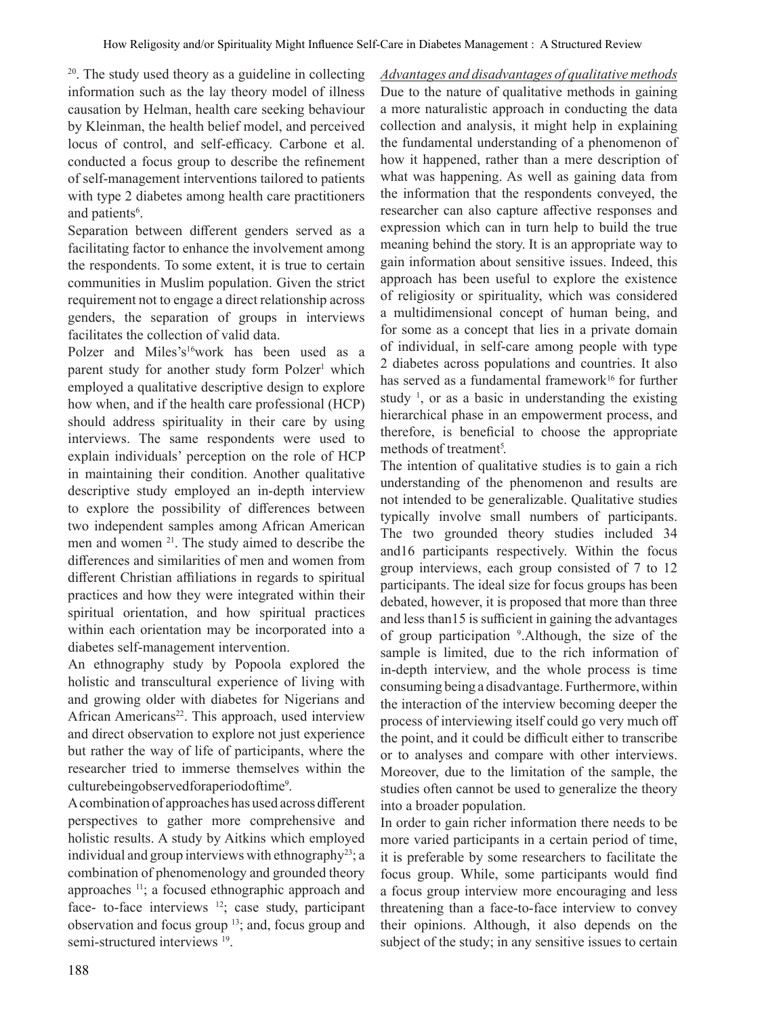$20$ . The study used theory as a guideline in collecting information such as the lay theory model of illness causation by Helman, health care seeking behaviour by Kleinman, the health belief model, and perceived locus of control, and self-efficacy. Carbone et al. conducted a focus group to describe the refinement of self-management interventions tailored to patients with type 2 diabetes among health care practitioners and patients<sup>6</sup>.

Separation between different genders served as a facilitating factor to enhance the involvement among the respondents. To some extent, it is true to certain communities in Muslim population. Given the strict requirement not to engage a direct relationship across genders, the separation of groups in interviews facilitates the collection of valid data.

Polzer and Miles's<sup>16</sup>work has been used as a parent study for another study form Polzer<sup>1</sup> which employed a qualitative descriptive design to explore how when, and if the health care professional (HCP) should address spirituality in their care by using interviews. The same respondents were used to explain individuals' perception on the role of HCP in maintaining their condition. Another qualitative descriptive study employed an in-depth interview to explore the possibility of differences between two independent samples among African American men and women 21. The study aimed to describe the differences and similarities of men and women from different Christian affiliations in regards to spiritual practices and how they were integrated within their spiritual orientation, and how spiritual practices within each orientation may be incorporated into a diabetes self-management intervention.

An ethnography study by Popoola explored the holistic and transcultural experience of living with and growing older with diabetes for Nigerians and African Americans<sup>22</sup>. This approach, used interview and direct observation to explore not just experience but rather the way of life of participants, where the researcher tried to immerse themselves within the culturebeingobservedforaperiodoftime<sup>9</sup> .

Acombination of approaches has used across different perspectives to gather more comprehensive and holistic results. A study by Aitkins which employed individual and group interviews with ethnography23; a combination of phenomenology and grounded theory approaches 11; a focused ethnographic approach and face- to-face interviews <sup>12</sup>; case study, participant observation and focus group 13; and, focus group and semi-structured interviews <sup>19</sup>.

*Advantages and disadvantages of qualitative methods* Due to the nature of qualitative methods in gaining a more naturalistic approach in conducting the data collection and analysis, it might help in explaining the fundamental understanding of a phenomenon of how it happened, rather than a mere description of what was happening. As well as gaining data from the information that the respondents conveyed, the researcher can also capture affective responses and expression which can in turn help to build the true meaning behind the story. It is an appropriate way to gain information about sensitive issues. Indeed, this approach has been useful to explore the existence of religiosity or spirituality, which was considered a multidimensional concept of human being, and for some as a concept that lies in a private domain of individual, in self-care among people with type 2 diabetes across populations and countries. It also has served as a fundamental framework<sup>16</sup> for further study<sup>1</sup>, or as a basic in understanding the existing hierarchical phase in an empowerment process, and therefore, is beneficial to choose the appropriate methods of treatment<sup>5</sup>.

The intention of qualitative studies is to gain a rich understanding of the phenomenon and results are not intended to be generalizable. Qualitative studies typically involve small numbers of participants. The two grounded theory studies included 34 and16 participants respectively. Within the focus group interviews, each group consisted of 7 to 12 participants. The ideal size for focus groups has been debated, however, it is proposed that more than three and less than15 is sufficient in gaining the advantages of group participation <sup>9</sup>. Although, the size of the sample is limited, due to the rich information of in-depth interview, and the whole process is time consuming being a disadvantage. Furthermore, within the interaction of the interview becoming deeper the process of interviewing itself could go very much off the point, and it could be difficult either to transcribe or to analyses and compare with other interviews. Moreover, due to the limitation of the sample, the studies often cannot be used to generalize the theory into a broader population.

In order to gain richer information there needs to be more varied participants in a certain period of time, it is preferable by some researchers to facilitate the focus group. While, some participants would find a focus group interview more encouraging and less threatening than a face-to-face interview to convey their opinions. Although, it also depends on the subject of the study; in any sensitive issues to certain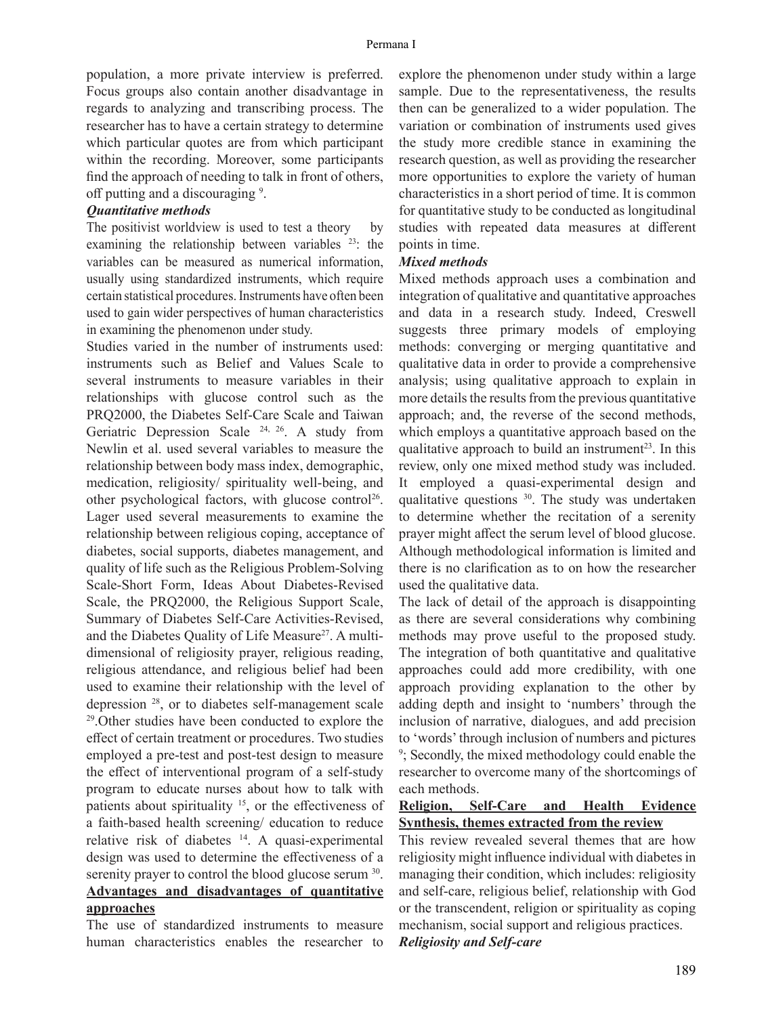population, a more private interview is preferred. Focus groups also contain another disadvantage in regards to analyzing and transcribing process. The researcher has to have a certain strategy to determine which particular quotes are from which participant within the recording. Moreover, some participants find the approach of needing to talk in front of others, off putting and a discouraging<sup>9</sup>.

## *Quantitative methods*

The positivist worldview is used to test a theory by examining the relationship between variables  $23$ : the variables can be measured as numerical information, usually using standardized instruments, which require certain statistical procedures. Instruments have often been used to gain wider perspectives of human characteristics in examining the phenomenon under study.

Studies varied in the number of instruments used: instruments such as Belief and Values Scale to several instruments to measure variables in their relationships with glucose control such as the PRQ2000, the Diabetes Self-Care Scale and Taiwan Geriatric Depression Scale 24, <sup>26</sup>. A study from Newlin et al. used several variables to measure the relationship between body mass index, demographic, medication, religiosity/ spirituality well-being, and other psychological factors, with glucose control<sup>26</sup>. Lager used several measurements to examine the relationship between religious coping, acceptance of diabetes, social supports, diabetes management, and quality of life such as the Religious Problem-Solving Scale-Short Form, Ideas About Diabetes-Revised Scale, the PRQ2000, the Religious Support Scale, Summary of Diabetes Self-Care Activities-Revised, and the Diabetes Quality of Life Measure<sup>27</sup>. A multidimensional of religiosity prayer, religious reading, religious attendance, and religious belief had been used to examine their relationship with the level of depression 28, or to diabetes self-management scale <sup>29</sup>.Other studies have been conducted to explore the effect of certain treatment or procedures. Two studies employed a pre-test and post-test design to measure the effect of interventional program of a self-study program to educate nurses about how to talk with patients about spirituality <sup>15</sup>, or the effectiveness of a faith-based health screening/ education to reduce relative risk of diabetes  $14$ . A quasi-experimental design was used to determine the effectiveness of a serenity prayer to control the blood glucose serum <sup>30</sup>. **Advantages and disadvantages of quantitative approaches**

The use of standardized instruments to measure human characteristics enables the researcher to

explore the phenomenon under study within a large sample. Due to the representativeness, the results then can be generalized to a wider population. The variation or combination of instruments used gives the study more credible stance in examining the research question, as well as providing the researcher more opportunities to explore the variety of human characteristics in a short period of time. It is common for quantitative study to be conducted as longitudinal studies with repeated data measures at different points in time.

### *Mixed methods*

Mixed methods approach uses a combination and integration of qualitative and quantitative approaches and data in a research study. Indeed, Creswell suggests three primary models of employing methods: converging or merging quantitative and qualitative data in order to provide a comprehensive analysis; using qualitative approach to explain in more details the results from the previous quantitative approach; and, the reverse of the second methods, which employs a quantitative approach based on the qualitative approach to build an instrument<sup>23</sup>. In this review, only one mixed method study was included. It employed a quasi-experimental design and qualitative questions <sup>30</sup>. The study was undertaken to determine whether the recitation of a serenity prayer might affect the serum level of blood glucose. Although methodological information is limited and there is no clarification as to on how the researcher used the qualitative data.

The lack of detail of the approach is disappointing as there are several considerations why combining methods may prove useful to the proposed study. The integration of both quantitative and qualitative approaches could add more credibility, with one approach providing explanation to the other by adding depth and insight to 'numbers' through the inclusion of narrative, dialogues, and add precision to 'words'through inclusion of numbers and pictures 9 ; Secondly, the mixed methodology could enable the researcher to overcome many of the shortcomings of each methods.

### **Religion, Self-Care and Health Evidence Synthesis, themes extracted from the review**

This review revealed several themes that are how religiosity might influence individual with diabetes in managing their condition, which includes: religiosity and self-care, religious belief, relationship with God or the transcendent, religion or spirituality as coping mechanism, social support and religious practices. *Religiosity and Self-care*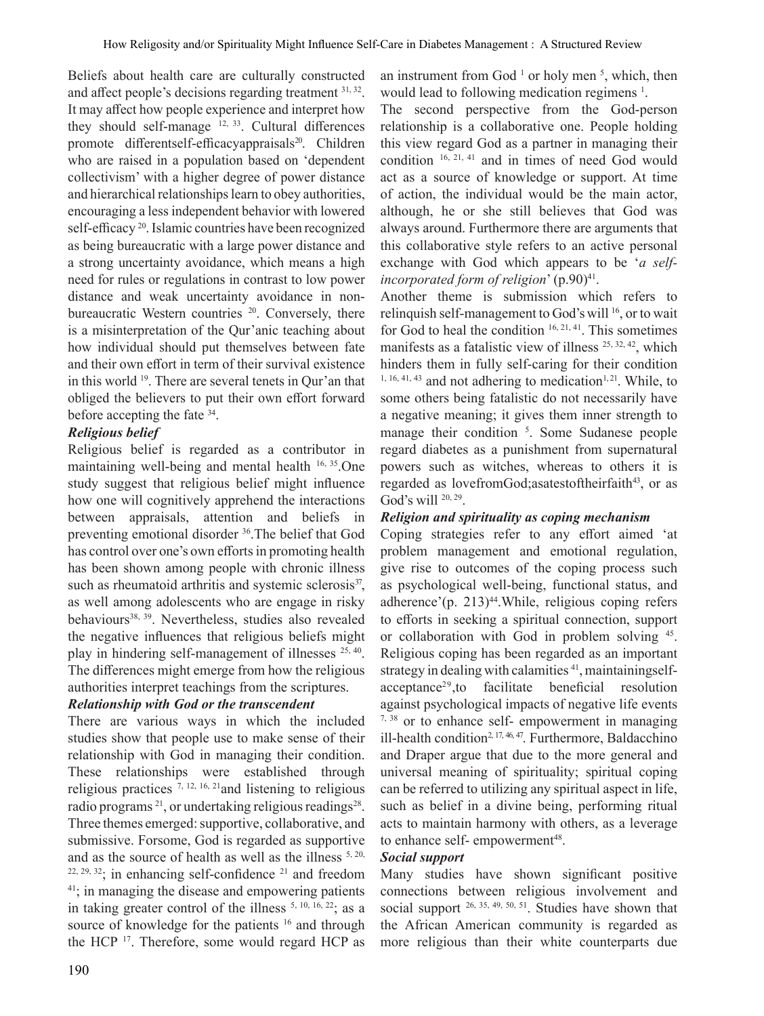Beliefs about health care are culturally constructed and affect people's decisions regarding treatment 31, 32. It may affect how people experience and interpret how they should self-manage 12, 33. Cultural differences promote differentself-efficacyappraisals<sup>20</sup>. Children who are raised in a population based on 'dependent collectivism' with a higher degree of power distance and hierarchical relationships learn to obey authorities, encouraging a less independent behavior with lowered self-efficacy 20. Islamic countries have been recognized as being bureaucratic with a large power distance and a strong uncertainty avoidance, which means a high need for rules or regulations in contrast to low power distance and weak uncertainty avoidance in nonbureaucratic Western countries <sup>20</sup>. Conversely, there is a misinterpretation of the Qur'anic teaching about how individual should put themselves between fate and their own effort in term of their survival existence in this world <sup>19</sup>. There are several tenets in Qur'an that obliged the believers to put their own effort forward before accepting the fate <sup>34</sup>.

## *Religious belief*

Religious belief is regarded as a contributor in maintaining well-being and mental health <sup>16, 35</sup>. One study suggest that religious belief might influence how one will cognitively apprehend the interactions between appraisals, attention and beliefs in preventing emotional disorder <sup>36</sup>.The belief that God has control over one's own efforts in promoting health has been shown among people with chronic illness such as rheumatoid arthritis and systemic sclerosis $37$ , as well among adolescents who are engage in risky behaviours<sup>38, 39</sup>. Nevertheless, studies also revealed the negative influences that religious beliefs might play in hindering self-management of illnesses 25, <sup>40</sup>. The differences might emerge from how the religious authorities interpret teachings from the scriptures.

## *Relationship with God or the transcendent*

There are various ways in which the included studies show that people use to make sense of their relationship with God in managing their condition. These relationships were established through religious practices 7, 12, 16, <sup>21</sup>and listening to religious radio programs<sup>21</sup>, or undertaking religious readings<sup>28</sup>. Three themes emerged: supportive, collaborative, and submissive. Forsome, God is regarded as supportive and as the source of health as well as the illness 5, 20,  $22, 29, 32$ ; in enhancing self-confidence  $21$  and freedom <sup>41</sup>; in managing the disease and empowering patients in taking greater control of the illness  $5, 10, 16, 22$ ; as a source of knowledge for the patients <sup>16</sup> and through the HCP <sup>17</sup>. Therefore, some would regard HCP as an instrument from God<sup> $1$ </sup> or holy men<sup>5</sup>, which, then would lead to following medication regimens<sup>1</sup>.

The second perspective from the God-person relationship is a collaborative one. People holding this view regard God as a partner in managing their condition 16, 21, <sup>41</sup> and in times of need God would act as a source of knowledge or support. At time of action, the individual would be the main actor, although, he or she still believes that God was always around. Furthermore there are arguments that this collaborative style refers to an active personal exchange with God which appears to be '*a selfincorporated form of religion*' (p.90)<sup>41</sup>.

Another theme is submission which refers to relinquish self-management to God'swill 16, or to wait for God to heal the condition 16, 21, <sup>41</sup>. This sometimes manifests as a fatalistic view of illness 25, 32, 42, which hinders them in fully self-caring for their condition  $1, 16, 41, 43$  and not adhering to medication<sup>1, 21</sup>. While, to some others being fatalistic do not necessarily have a negative meaning; it gives them inner strength to manage their condition <sup>5</sup>. Some Sudanese people regard diabetes as a punishment from supernatural powers such as witches, whereas to others it is regarded as lovefromGod; as atest of their faith<sup>43</sup>, or as God's will <sup>20, 29</sup>.

## *Religion and spirituality as coping mechanism*

Coping strategies refer to any effort aimed 'at problem management and emotional regulation, give rise to outcomes of the coping process such as psychological well-being, functional status, and adherence'(p. 213)<sup>44</sup>. While, religious coping refers to efforts in seeking a spiritual connection, support or collaboration with God in problem solving <sup>45</sup>. Religious coping has been regarded as an important strategy in dealing with calamities  $41$ , maintainingselfacceptance29,to facilitate beneficial resolution against psychological impacts of negative life events  $7,38$  or to enhance self- empowerment in managing ill-health condition<sup>2, 17, 46, 47</sup>. Furthermore, Baldacchino and Draper argue that due to the more general and universal meaning of spirituality; spiritual coping can be referred to utilizing any spiritual aspect in life, such as belief in a divine being, performing ritual acts to maintain harmony with others, as a leverage to enhance self- empowerment<sup>48</sup>.

## *Social support*

Many studies have shown significant positive connections between religious involvement and social support <sup>26, 35, 49, 50, 51</sup>. Studies have shown that the African American community is regarded as more religious than their white counterparts due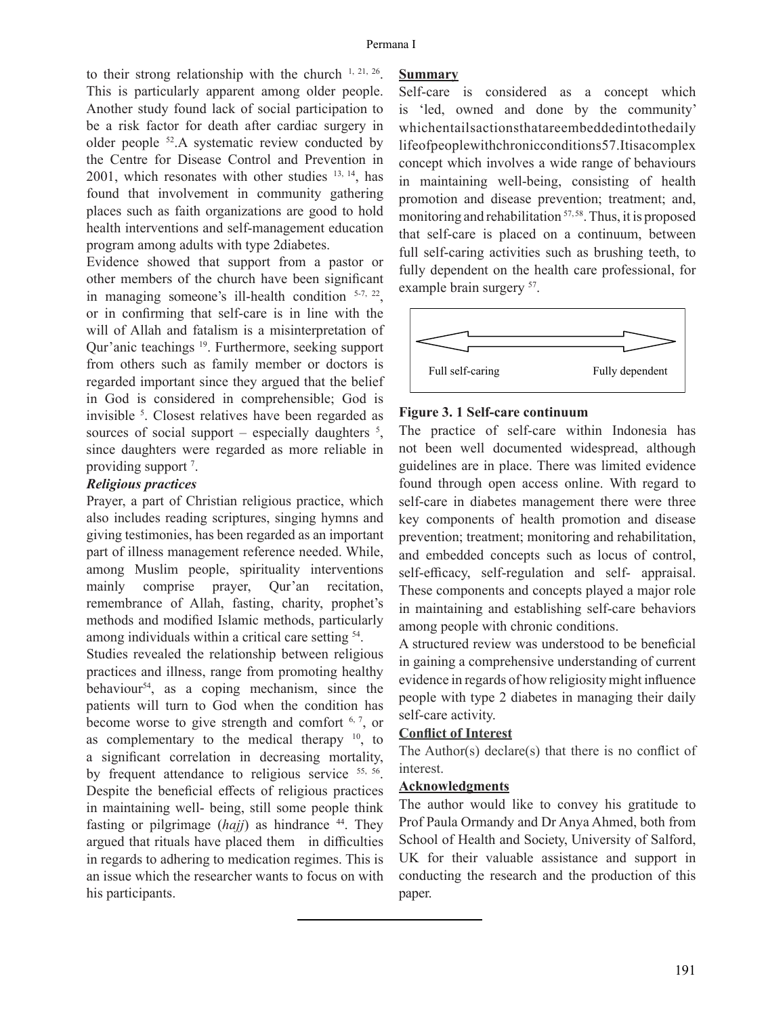to their strong relationship with the church  $1, 21, 26$ . This is particularly apparent among older people. Another study found lack of social participation to be a risk factor for death after cardiac surgery in older people 52.A systematic review conducted by the Centre for Disease Control and Prevention in 2001, which resonates with other studies  $^{13, 14}$ , has found that involvement in community gathering places such as faith organizations are good to hold health interventions and self-management education program among adults with type 2diabetes.

Evidence showed that support from a pastor or other members of the church have been significant in managing someone's ill-health condition 5-7, 22, or in confirming that self-care is in line with the will of Allah and fatalism is a misinterpretation of Qur'anic teachings 19. Furthermore, seeking support from others such as family member or doctors is regarded important since they argued that the belief in God is considered in comprehensible; God is invisible 5 . Closest relatives have been regarded as sources of social support – especially daughters  $\frac{5}{2}$ , since daughters were regarded as more reliable in providing support<sup>7</sup>.

#### *Religious practices*

Prayer, a part of Christian religious practice, which also includes reading scriptures, singing hymns and giving testimonies, has been regarded as an important part of illness management reference needed. While, among Muslim people, spirituality interventions mainly comprise prayer, Qur'an recitation, remembrance of Allah, fasting, charity, prophet's methods and modified Islamic methods, particularly among individuals within a critical care setting <sup>54</sup>.

Studies revealed the relationship between religious practices and illness, range from promoting healthy behaviour<sup>54</sup>, as a coping mechanism, since the patients will turn to God when the condition has become worse to give strength and comfort  $6, 7$ , or as complementary to the medical therapy  $10$ , to a significant correlation in decreasing mortality, by frequent attendance to religious service <sup>55, 56</sup>. Despite the beneficial effects of religious practices in maintaining well- being, still some people think fasting or pilgrimage (*hajj*) as hindrance <sup>44</sup>. They argued that rituals have placed them in difficulties in regards to adhering to medication regimes. This is an issue which the researcher wants to focus on with his participants.

#### **Summary**

Self-care is considered as a concept which is 'led, owned and done by the community' whichentailsactionsthatareembeddedintothedaily lifeofpeoplewithchronicconditions57.Itisacomplex concept which involves a wide range of behaviours in maintaining well-being, consisting of health promotion and disease prevention; treatment; and, monitoring and rehabilitation 57, 58. Thus, it is proposed that self-care is placed on a continuum, between full self-caring activities such as brushing teeth, to fully dependent on the health care professional, for example brain surgery <sup>57</sup>.



### **Figure 3. 1 Self-care continuum**

The practice of self-care within Indonesia has not been well documented widespread, although guidelines are in place. There was limited evidence found through open access online. With regard to self-care in diabetes management there were three key components of health promotion and disease prevention; treatment; monitoring and rehabilitation, and embedded concepts such as locus of control, self-efficacy, self-regulation and self- appraisal. These components and concepts played a major role in maintaining and establishing self-care behaviors among people with chronic conditions.

A structured review was understood to be beneficial in gaining a comprehensive understanding of current evidence in regards of how religiosity might influence people with type 2 diabetes in managing their daily self-care activity.

## **Conflict of Interest**

The Author(s) declare(s) that there is no conflict of interest.

### **Acknowledgments**

The author would like to convey his gratitude to Prof Paula Ormandy and Dr Anya Ahmed, both from School of Health and Society, University of Salford, UK for their valuable assistance and support in conducting the research and the production of this paper.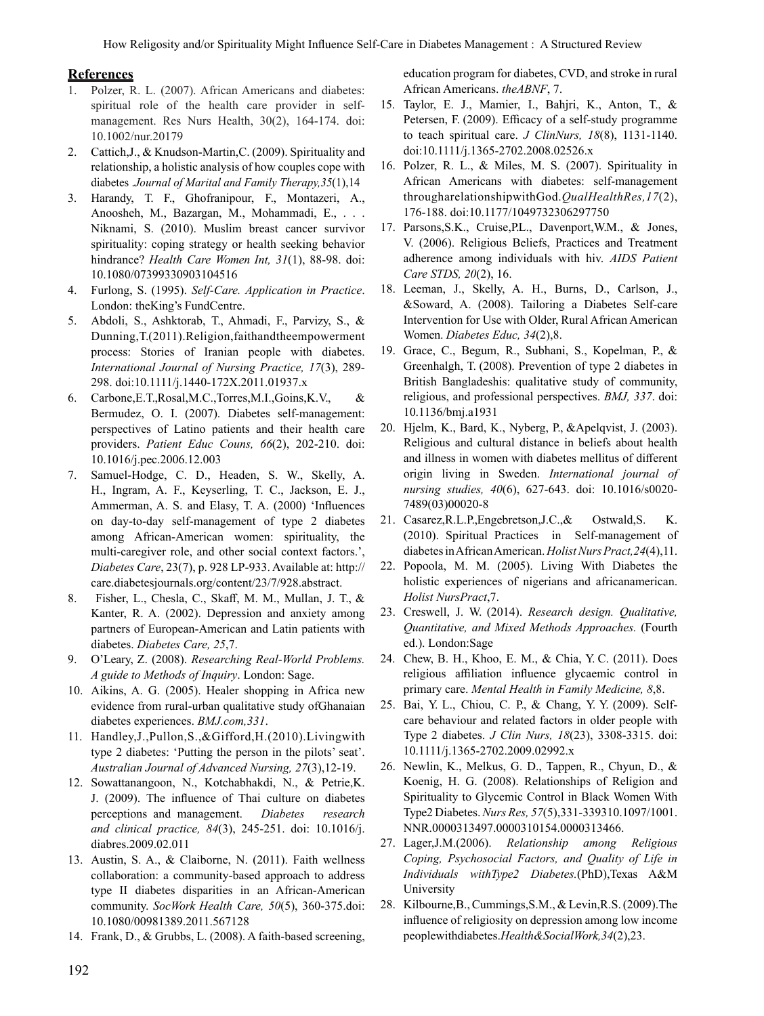## **References**

- 1. Polzer, R. L. (2007). African Americans and diabetes: spiritual role of the health care provider in selfmanagement. Res Nurs Health, 30(2), 164-174. doi: 10.1002/nur.20179
- 2. Cattich,J., & Knudson-Martin,C. (2009). Spirituality and relationship, a holistic analysis of how couples cope with diabetes .*Journal of Marital and Family Therapy,35*(1),14
- 3. Harandy, T. F., Ghofranipour, F., Montazeri, A., Anoosheh, M., Bazargan, M., Mohammadi, E., . . . Niknami, S. (2010). Muslim breast cancer survivor spirituality: coping strategy or health seeking behavior hindrance? *Health Care Women Int, 31*(1), 88-98. doi: 10.1080/07399330903104516
- 4. Furlong, S. (1995). *Self-Care. Application in Practice*. London: theKing's FundCentre.
- 5. Abdoli, S., Ashktorab, T., Ahmadi, F., Parvizy, S., & Dunning,T.(2011).Religion,faithandtheempowerment process: Stories of Iranian people with diabetes. *International Journal of Nursing Practice, 17*(3), 289- 298. doi:10.1111/j.1440-172X.2011.01937.x
- 6. Carbone,E.T.,Rosal,M.C.,Torres,M.I.,Goins,K.V., & Bermudez, O. I. (2007). Diabetes self-management: perspectives of Latino patients and their health care providers. *Patient Educ Couns, 66*(2), 202-210. doi: 10.1016/j.pec.2006.12.003
- 7. Samuel-Hodge, C. D., Headen, S. W., Skelly, A. H., Ingram, A. F., Keyserling, T. C., Jackson, E. J., Ammerman, A. S. and Elasy, T. A. (2000) 'Influences on day-to-day self-management of type 2 diabetes among African-American women: spirituality, the multi-caregiver role, and other social context factors.', *Diabetes Care*, 23(7), p. 928 LP-933. Available at: http:// care.diabetesjournals.org/content/23/7/928.abstract.
- 8. Fisher, L., Chesla, C., Skaff, M. M., Mullan, J. T., & Kanter, R. A. (2002). Depression and anxiety among partners of European-American and Latin patients with diabetes. *Diabetes Care, 25*,7.
- 9. O'Leary, Z. (2008). *Researching Real-World Problems. A guide to Methods of Inquiry*. London: Sage.
- 10. Aikins, A. G. (2005). Healer shopping in Africa new evidence from rural-urban qualitative study ofGhanaian diabetes experiences. *BMJ.com,331*.
- 11. Handley,J.,Pullon,S.,&Gifford,H.(2010).Livingwith type 2 diabetes: 'Putting the person in the pilots' seat'. *Australian Journal of Advanced Nursing, 27*(3),12-19.
- 12. Sowattanangoon, N., Kotchabhakdi, N., & Petrie,K. J. (2009). The influence of Thai culture on diabetes perceptions and management. *Diabetes research and clinical practice, 84*(3), 245-251. doi: 10.1016/j. diabres.2009.02.011
- 13. Austin, S. A., & Claiborne, N. (2011). Faith wellness collaboration: a community-based approach to address type II diabetes disparities in an African-American community. *SocWork Health Care, 50*(5), 360-375.doi: 10.1080/00981389.2011.567128
- 14. Frank, D., & Grubbs, L. (2008). A faith-based screening,

education program for diabetes, CVD, and stroke in rural African Americans. *theABNF*, 7.

- 15. Taylor, E. J., Mamier, I., Bahjri, K., Anton, T., & Petersen, F. (2009). Efficacy of a self-study programme to teach spiritual care. *J ClinNurs, 18*(8), 1131-1140. doi:10.1111/j.1365-2702.2008.02526.x
- 16. Polzer, R. L., & Miles, M. S. (2007). Spirituality in African Americans with diabetes: self-management througharelationshipwithGod.*QualHealthRes,17*(2), 176-188. doi:10.1177/1049732306297750
- 17. Parsons,S.K., Cruise,P.L., Davenport,W.M., & Jones, V. (2006). Religious Beliefs, Practices and Treatment adherence among individuals with hiv. *AIDS Patient Care STDS, 20*(2), 16.
- 18. Leeman, J., Skelly, A. H., Burns, D., Carlson, J., &Soward, A. (2008). Tailoring a Diabetes Self-care Intervention for Use with Older, Rural African American Women. *Diabetes Educ, 34*(2),8.
- 19. Grace, C., Begum, R., Subhani, S., Kopelman, P., & Greenhalgh, T. (2008). Prevention of type 2 diabetes in British Bangladeshis: qualitative study of community, religious, and professional perspectives. *BMJ, 337*. doi: 10.1136/bmj.a1931
- 20. Hjelm, K., Bard, K., Nyberg, P., &Apelqvist, J. (2003). Religious and cultural distance in beliefs about health and illness in women with diabetes mellitus of different origin living in Sweden. *International journal of nursing studies, 40*(6), 627-643. doi: 10.1016/s0020- 7489(03)00020-8
- 21. Casarez,R.L.P.,Engebretson,J.C.,& Ostwald,S. K. (2010). Spiritual Practices in Self-management of diabetes in African American. *Holist Nurs Pract,24*(4),11.
- 22. Popoola, M. M. (2005). Living With Diabetes the holistic experiences of nigerians and africanamerican. *Holist NursPract*,7.
- 23. Creswell, J. W. (2014). *Research design. Qualitative, Quantitative, and Mixed Methods Approaches.* (Fourth ed.). London:Sage
- 24. Chew, B. H., Khoo, E. M., & Chia, Y. C. (2011). Does religious affiliation influence glycaemic control in primary care. *Mental Health in Family Medicine, 8*,8.
- 25. Bai, Y. L., Chiou, C. P., & Chang, Y. Y. (2009). Selfcare behaviour and related factors in older people with Type 2 diabetes. *J Clin Nurs, 18*(23), 3308-3315. doi: 10.1111/j.1365-2702.2009.02992.x
- 26. Newlin, K., Melkus, G. D., Tappen, R., Chyun, D., & Koenig, H. G. (2008). Relationships of Religion and Spirituality to Glycemic Control in Black Women With Type2 Diabetes. *Nurs Res, 57*(5),331-339310.1097/1001. NNR.0000313497.0000310154.0000313466.
- 27. Lager,J.M.(2006). *Relationship among Religious Coping, Psychosocial Factors, and Quality of Life in Individuals withType2 Diabetes.*(PhD),Texas A&M University
- 28. Kilbourne,B.,Cummings,S.M., & Levin,R.S.(2009).The influence of religiosity on depression among low income peoplewithdiabetes.*Health&SocialWork,34*(2),23.